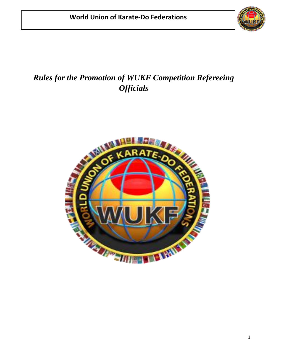

# *Rules for the Promotion of WUKF Competition Refereeing Officials*

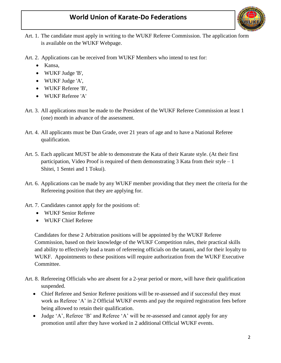

- Art. 1. The candidate must apply in writing to the WUKF Referee Commission. The application form is available on the WUKF Webpage.
- Art. 2. Applications can be received from WUKF Members who intend to test for:
	- Kansa,
	- WUKF Judge 'B',
	- WUKF Judge 'A',
	- WUKF Referee 'B',
	- WUKF Referee 'A'
- Art. 3. All applications must be made to the President of the WUKF Referee Commission at least 1 (one) month in advance of the assessment.
- Art. 4. All applicants must be Dan Grade, over 21 years of age and to have a National Referee qualification.
- Art. 5. Each applicant MUST be able to demonstrate the Kata of their Karate style. (At their first participation, Video Proof is required of them demonstrating  $3$  Kata from their style  $-1$ Shitei, 1 Sentei and 1 Tokui).
- Art. 6. Applications can be made by any WUKF member providing that they meet the criteria for the Refereeing position that they are applying for.
- Art. 7. Candidates cannot apply for the positions of:
	- WUKF Senior Referee
	- WUKF Chief Referee

Candidates for these 2 Arbitration positions will be appointed by the WUKF Referee Commission, based on their knowledge of the WUKF Competition rules, their practical skills and ability to effectively lead a team of refereeing officials on the tatami, and for their loyalty to WUKF. Appointments to these positions will require authorization from the WUKF Executive Committee.

- Art. 8. Refereeing Officials who are absent for a 2-year period or more, will have their qualification suspended.
	- Chief Referee and Senior Referee positions will be re-assessed and if successful they must work as Referee 'A' in 2 Official WUKF events and pay the required registration fees before being allowed to retain their qualification.
	- Judge 'A', Referee 'B' and Referee 'A' will be re-assessed and cannot apply for any promotion until after they have worked in 2 additional Official WUKF events.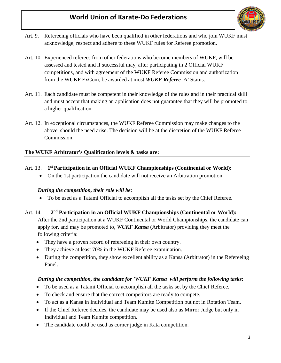

- Art. 9. Refereeing officials who have been qualified in other federations and who join WUKF must acknowledge, respect and adhere to these WUKF rules for Referee promotion.
- Art. 10. Experienced referees from other federations who become members of WUKF, will be assessed and tested and if successful may, after participating in 2 Official WUKF competitions, and with agreement of the WUKF Referee Commission and authorization from the WUKF ExCom, be awarded at most *WUKF Referee 'A'* Status.
- Art. 11. Each candidate must be competent in their knowledge of the rules and in their practical skill and must accept that making an application does not guarantee that they will be promoted to a higher qualification.
- Art. 12. In exceptional circumstances, the WUKF Referee Commission may make changes to the above, should the need arise. The decision will be at the discretion of the WUKF Referee Commission.

### **The WUKF Arbitrator's Qualification levels & tasks are:**

#### Art. 13. **1 st Participation in an Official WUKF Championships (Continental or World):**

• On the 1st participation the candidate will not receive an Arbitration promotion.

### *During the competition, their role will be*:

• To be used as a Tatami Official to accomplish all the tasks set by the Chief Referee.

#### Art. 14. **2 nd Participation in an Official WUKF Championships (Continental or World):**

After the 2nd participation at a WUKF Continental or World Championships, the candidate can apply for, and may be promoted to, *WUKF Kansa* (Arbitrator) providing they meet the following criteria:

- They have a proven record of refereeing in their own country.
- They achieve at least 70% in the WUKF Referee examination.
- During the competition, they show excellent ability as a Kansa (Arbitrator) in the Refereeing Panel.

### *During the competition, the candidate for 'WUKF Kansa' will perform the following tasks*:

- To be used as a Tatami Official to accomplish all the tasks set by the Chief Referee.
- To check and ensure that the correct competitors are ready to compete.
- To act as a Kansa in Individual and Team Kumite Competition but not in Rotation Team.
- If the Chief Referee decides, the candidate may be used also as Mirror Judge but only in Individual and Team Kumite competition.
- The candidate could be used as corner judge in Kata competition.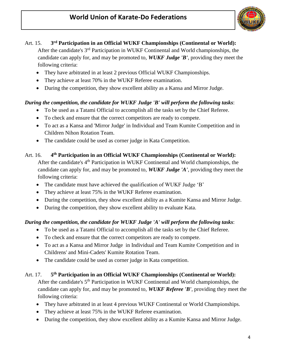

#### Art. 15. **rd Participation in an Official WUKF Championships (Continental or World):**

After the candidate's 3rd Participation in WUKF Continental and World championships, the candidate can apply for, and may be promoted to, *WUKF Judge 'B'*, providing they meet the following criteria:

- They have arbitrated in at least 2 previous Official WUKF Championships.
- They achieve at least 70% in the WUKF Referee examination.
- During the competition, they show excellent ability as a Kansa and Mirror Judge.

### *During the competition, the candidate for WUKF Judge 'B' will perform the following tasks*:

- To be used as a Tatami Official to accomplish all the tasks set by the Chief Referee.
- To check and ensure that the correct competitors are ready to compete.
- To act as a Kansa and 'Mirror Judge' in Individual and Team Kumite Competition and in Children Nihon Rotation Team.
- The candidate could be used as corner judge in Kata Competition.

#### Art. 16. **4 th Participation in an Official WUKF Championships (Continental or World):**

After the candidate's 4<sup>th</sup> Participation in WUKF Continental and World championships, the candidate can apply for, and may be promoted to, *WUKF Judge 'A'*, providing they meet the following criteria:

- The candidate must have achieved the qualification of WUKF Judge 'B'
- They achieve at least 75% in the WUKF Referee examination.
- During the competition, they show excellent ability as a Kumite Kansa and Mirror Judge.
- During the competition, they show excellent ability to evaluate Kata.

### *During the competition, the candidate for WUKF Judge 'A' will perform the following tasks*:

- To be used as a Tatami Official to accomplish all the tasks set by the Chief Referee.
- To check and ensure that the correct competitors are ready to compete.
- To act as a Kansa and Mirror Judge in Individual and Team Kumite Competition and in Childrens' and Mini-Cadets' Kumite Rotation Team.
- The candidate could be used as corner judge in Kata competition.

#### Art. 17. **5 th Participation in an Official WUKF Championships (Continental or World):**

After the candidate's  $5<sup>th</sup>$  Participation in WUKF Continental and World championships, the candidate can apply for, and may be promoted to, *WUKF Referee 'B'*, providing they meet the following criteria:

- They have arbitrated in at least 4 previous WUKF Continental or World Championships.
- They achieve at least 75% in the WUKF Referee examination.
- During the competition, they show excellent ability as a Kumite Kansa and Mirror Judge.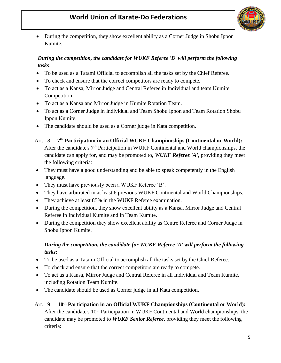

• During the competition, they show excellent ability as a Corner Judge in Shobu Ippon Kumite.

### *During the competition, the candidate for WUKF Referee 'B' will perform the following tasks*:

- To be used as a Tatami Official to accomplish all the tasks set by the Chief Referee.
- To check and ensure that the correct competitors are ready to compete.
- To act as a Kansa, Mirror Judge and Central Referee in Individual and team Kumite Competition.
- To act as a Kansa and Mirror Judge in Kumite Rotation Team.
- To act as a Corner Judge in Individual and Team Shobu Ippon and Team Rotation Shobu Ippon Kumite.
- The candidate should be used as a Corner judge in Kata competition.
- Art. 18. **7 th Participation in an Official WUKF Championships (Continental or World):** After the candidate's  $7<sup>th</sup>$  Participation in WUKF Continental and World championships, the candidate can apply for, and may be promoted to, *WUKF Referee 'A'*, providing they meet the following criteria:
- They must have a good understanding and be able to speak competently in the English language.
- They must have previously been a WUKF Referee 'B'.
- They have arbitrated in at least 6 previous WUKF Continental and World Championships.
- They achieve at least 85% in the WUKF Referee examination.
- During the competition, they show excellent ability as a Kansa, Mirror Judge and Central Referee in Individual Kumite and in Team Kumite.
- During the competition they show excellent ability as Centre Referee and Corner Judge in Shobu Ippon Kumite.

### *During the competition, the candidate for WUKF Referee 'A' will perform the following tasks*:

- To be used as a Tatami Official to accomplish all the tasks set by the Chief Referee.
- To check and ensure that the correct competitors are ready to compete.
- To act as a Kansa, Mirror Judge and Central Referee in all Individual and Team Kumite, including Rotation Team Kumite.
- The candidate should be used as Corner judge in all Kata competition.

### Art. 19. **10th Participation in an Official WUKF Championships (Continental or World):** After the candidate's 10<sup>th</sup> Participation in WUKF Continental and World championships, the candidate may be promoted to *WUKF Senior Referee*, providing they meet the following criteria: